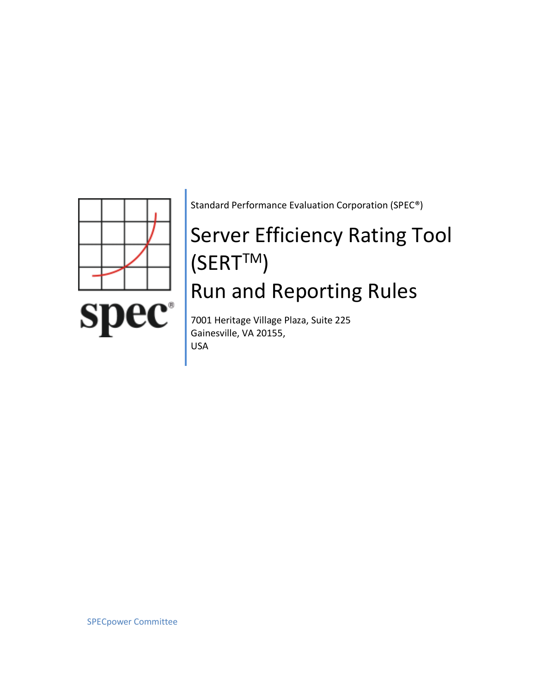

Standard Performance Evaluation Corporation (SPEC®)

# Server Efficiency Rating Tool (SERTTM) Run and Reporting Rules

7001 Heritage Village Plaza, Suite 225 Gainesville, VA 20155, USA

SPECpower Committee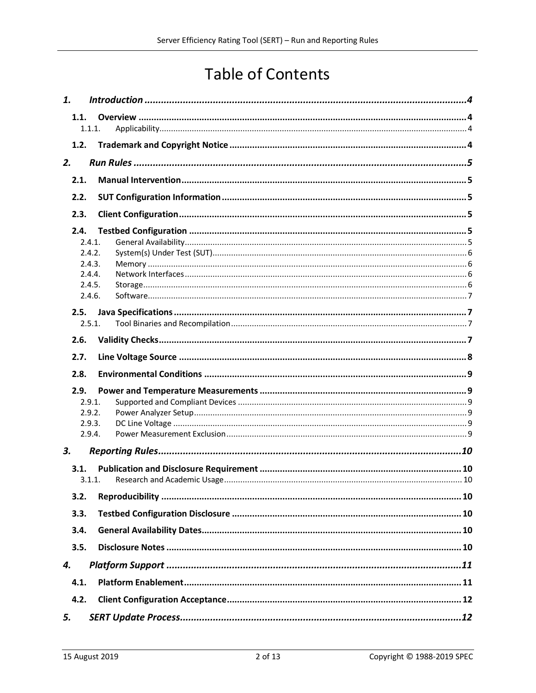# **Table of Contents**

| 1.   |        |  |  |  |
|------|--------|--|--|--|
| 1.1. |        |  |  |  |
|      | 1.1.1. |  |  |  |
| 1.2. |        |  |  |  |
|      |        |  |  |  |
| 2.   |        |  |  |  |
| 2.1. |        |  |  |  |
| 2.2. |        |  |  |  |
| 2.3. |        |  |  |  |
| 2.4. |        |  |  |  |
|      | 2.4.1. |  |  |  |
|      | 2.4.2. |  |  |  |
|      | 2.4.3. |  |  |  |
|      | 2.4.4. |  |  |  |
|      | 2.4.5. |  |  |  |
|      | 2.4.6. |  |  |  |
| 2.5. |        |  |  |  |
|      | 2.5.1. |  |  |  |
|      |        |  |  |  |
| 2.6. |        |  |  |  |
| 2.7. |        |  |  |  |
|      |        |  |  |  |
| 2.8. |        |  |  |  |
| 2.9. |        |  |  |  |
|      | 2.9.1. |  |  |  |
|      | 2.9.2. |  |  |  |
|      | 2.9.3. |  |  |  |
|      | 2.9.4. |  |  |  |
| 3.   |        |  |  |  |
| 3.1. |        |  |  |  |
|      | 3.1.1. |  |  |  |
| 3.2. |        |  |  |  |
| 3.3. |        |  |  |  |
| 3.4. |        |  |  |  |
| 3.5. |        |  |  |  |
| 4.   |        |  |  |  |
| 4.1. |        |  |  |  |
| 4.2. |        |  |  |  |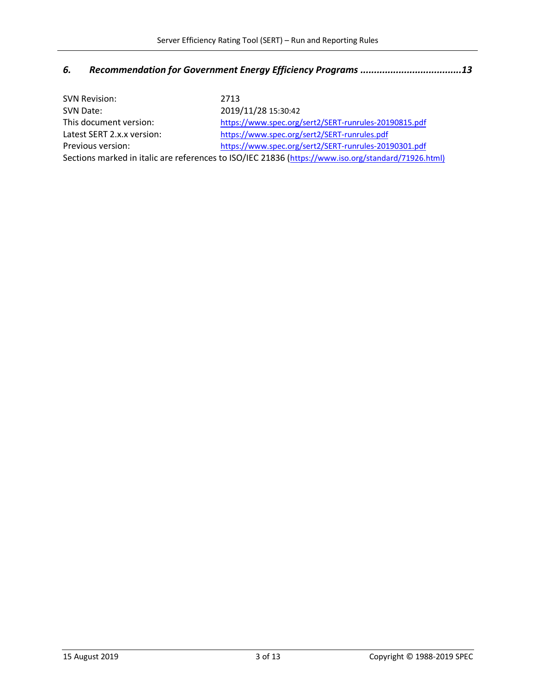# *6. [Recommendation for Government Energy Efficiency Programs](#page-12-0) .....................................13*

| SVN Revision:              | 2713                                                                                                |
|----------------------------|-----------------------------------------------------------------------------------------------------|
| SVN Date:                  | 2019/11/28 15:30:42                                                                                 |
| This document version:     | https://www.spec.org/sert2/SERT-runrules-20190815.pdf                                               |
| Latest SERT 2.x.x version: | https://www.spec.org/sert2/SERT-runrules.pdf                                                        |
| Previous version:          | https://www.spec.org/sert2/SERT-runrules-20190301.pdf                                               |
|                            | Sections marked in italic are references to ISO/IEC 21836 (https://www.iso.org/standard/71926.html) |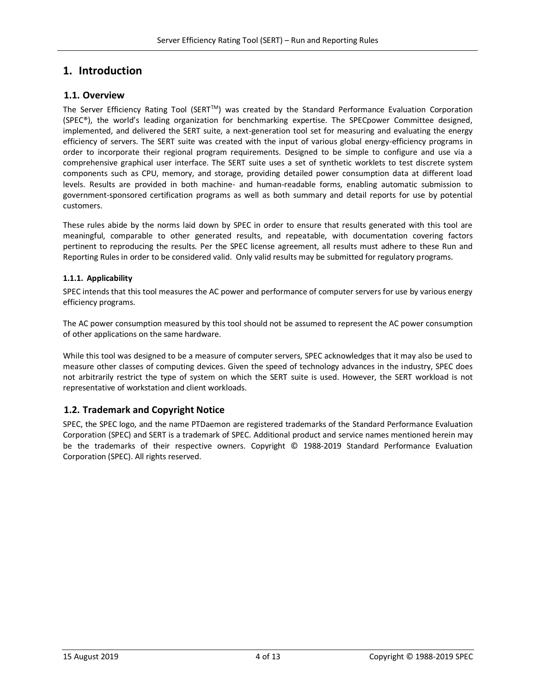# <span id="page-3-0"></span>**1. Introduction**

#### <span id="page-3-1"></span>**1.1. Overview**

The Server Efficiency Rating Tool (SERT™) was created by the Standard Performance Evaluation Corporation (SPEC®), the world's leading organization for benchmarking expertise. The SPECpower Committee designed, implemented, and delivered the SERT suite, a next-generation tool set for measuring and evaluating the energy efficiency of servers. The SERT suite was created with the input of various global energy-efficiency programs in order to incorporate their regional program requirements. Designed to be simple to configure and use via a comprehensive graphical user interface. The SERT suite uses a set of synthetic worklets to test discrete system components such as CPU, memory, and storage, providing detailed power consumption data at different load levels. Results are provided in both machine- and human-readable forms, enabling automatic submission to government-sponsored certification programs as well as both summary and detail reports for use by potential customers.

These rules abide by the norms laid down by SPEC in order to ensure that results generated with this tool are meaningful, comparable to other generated results, and repeatable, with documentation covering factors pertinent to reproducing the results. Per the SPEC license agreement, all results must adhere to these Run and Reporting Rules in order to be considered valid. Only valid results may be submitted for regulatory programs.

#### <span id="page-3-2"></span>**1.1.1. Applicability**

SPEC intends that this tool measures the AC power and performance of computer servers for use by various energy efficiency programs.

The AC power consumption measured by this tool should not be assumed to represent the AC power consumption of other applications on the same hardware.

While this tool was designed to be a measure of computer servers, SPEC acknowledges that it may also be used to measure other classes of computing devices. Given the speed of technology advances in the industry, SPEC does not arbitrarily restrict the type of system on which the SERT suite is used. However, the SERT workload is not representative of workstation and client workloads.

#### <span id="page-3-3"></span>**1.2. Trademark and Copyright Notice**

SPEC, the SPEC logo, and the name PTDaemon are registered trademarks of the Standard Performance Evaluation Corporation (SPEC) and SERT is a trademark of SPEC. Additional product and service names mentioned herein may be the trademarks of their respective owners. Copyright © 1988-2019 Standard Performance Evaluation Corporation (SPEC). All rights reserved.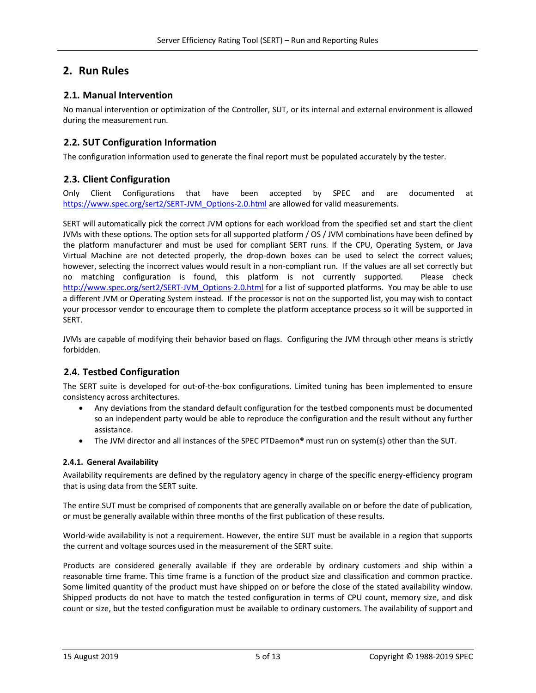# <span id="page-4-0"></span>**2. Run Rules**

#### <span id="page-4-1"></span>**2.1. Manual Intervention**

No manual intervention or optimization of the Controller, SUT, or its internal and external environment is allowed during the measurement run.

#### <span id="page-4-2"></span>**2.2. SUT Configuration Information**

<span id="page-4-3"></span>The configuration information used to generate the final report must be populated accurately by the tester.

#### **2.3. Client Configuration**

Only Client Configurations that have been accepted by SPEC and are documented at [https://www.spec.org/sert2/SERT-JVM\\_Options-2.0.html](http://www.spec.org/sert2/SERT-JVM_Options-2.0.html) are allowed for valid measurements.

SERT will automatically pick the correct JVM options for each workload from the specified set and start the client JVMs with these options. The option sets for all supported platform / OS / JVM combinations have been defined by the platform manufacturer and must be used for compliant SERT runs. If the CPU, Operating System, or Java Virtual Machine are not detected properly, the drop-down boxes can be used to select the correct values; however, selecting the incorrect values would result in a non-compliant run. If the values are all set correctly but no matching configuration is found, this platform is not currently supported. Please check [http://www.spec.org/sert2/SERT-JVM\\_Options-2.0.html](http://www.spec.org/sert2/SERT-JVM_Options-2.0.html) for a list of supported platforms. You may be able to use a different JVM or Operating System instead. If the processor is not on the supported list, you may wish to contact your processor vendor to encourage them to complete the platform acceptance process so it will be supported in SERT.

JVMs are capable of modifying their behavior based on flags. Configuring the JVM through other means is strictly forbidden.

#### <span id="page-4-4"></span>**2.4. Testbed Configuration**

The SERT suite is developed for out-of-the-box configurations. Limited tuning has been implemented to ensure consistency across architectures.

- Any deviations from the standard default configuration for the testbed components must be documented so an independent party would be able to reproduce the configuration and the result without any further assistance.
- The JVM director and all instances of the SPEC PTDaemon® must run on system(s) other than the SUT.

#### <span id="page-4-5"></span>**2.4.1. General Availability**

Availability requirements are defined by the regulatory agency in charge of the specific energy-efficiency program that is using data from the SERT suite.

The entire SUT must be comprised of components that are generally available on or before the date of publication, or must be generally available within three months of the first publication of these results.

World-wide availability is not a requirement. However, the entire SUT must be available in a region that supports the current and voltage sources used in the measurement of the SERT suite.

Products are considered generally available if they are orderable by ordinary customers and ship within a reasonable time frame. This time frame is a function of the product size and classification and common practice. Some limited quantity of the product must have shipped on or before the close of the stated availability window. Shipped products do not have to match the tested configuration in terms of CPU count, memory size, and disk count or size, but the tested configuration must be available to ordinary customers. The availability of support and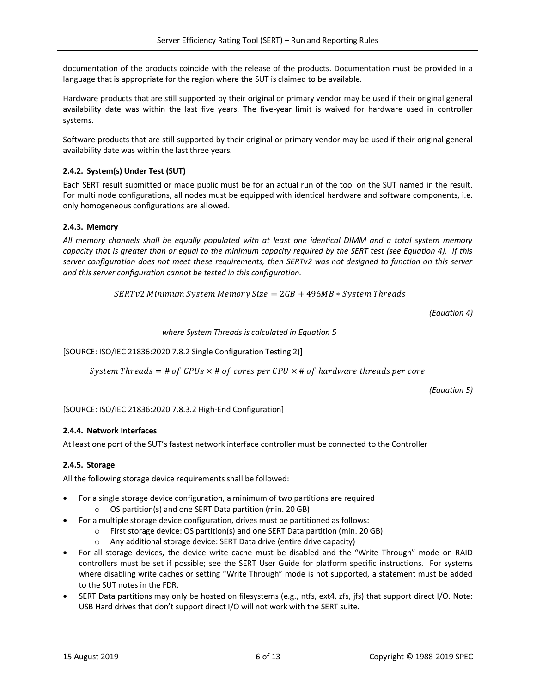documentation of the products coincide with the release of the products. Documentation must be provided in a language that is appropriate for the region where the SUT is claimed to be available.

Hardware products that are still supported by their original or primary vendor may be used if their original general availability date was within the last five years. The five-year limit is waived for hardware used in controller systems.

Software products that are still supported by their original or primary vendor may be used if their original general availability date was within the last three years.

#### <span id="page-5-0"></span>**2.4.2. System(s) Under Test (SUT)**

Each SERT result submitted or made public must be for an actual run of the tool on the SUT named in the result. For multi node configurations, all nodes must be equipped with identical hardware and software components, i.e. only homogeneous configurations are allowed.

#### <span id="page-5-1"></span>**2.4.3. Memory**

*All memory channels shall be equally populated with at least one identical DIMM and a total system memory capacity that is greater than or equal to the minimum capacity required by the SERT test (see Equation 4). If this server configuration does not meet these requirements, then SERTv2 was not designed to function on this server and this server configuration cannot be tested in this configuration.*

 $SERTv2$  Minimum System Memory Size =  $2GB + 496MB * System Threads$ 

*(Equation 4)*

*where System Threads is calculated in Equation 5*

[SOURCE: ISO/IEC 21836:2020 7.8.2 Single Configuration Testing 2)]

*System Threads* = # of  $CPUs \times #$  of cores per  $CPU \times #$  of hardware threads per core

*(Equation 5)*

<span id="page-5-2"></span>[SOURCE: ISO/IEC 21836:2020 7.8.3.2 High-End Configuration]

#### **2.4.4. Network Interfaces**

At least one port of the SUT's fastest network interface controller must be connected to the Controller

#### <span id="page-5-3"></span>**2.4.5. Storage**

All the following storage device requirements shall be followed:

- For a single storage device configuration, a minimum of two partitions are required
	- o OS partition(s) and one SERT Data partition (min. 20 GB)
- For a multiple storage device configuration, drives must be partitioned as follows:
	- $\circ$  First storage device: OS partition(s) and one SERT Data partition (min. 20 GB)
	- $\circ$  Any additional storage device: SERT Data drive (entire drive capacity)
- For all storage devices, the device write cache must be disabled and the "Write Through" mode on RAID controllers must be set if possible; see the SERT User Guide for platform specific instructions. For systems where disabling write caches or setting "Write Through" mode is not supported, a statement must be added to the SUT notes in the FDR.
- SERT Data partitions may only be hosted on filesystems (e.g., ntfs, ext4, zfs, jfs) that support direct I/O. Note: USB Hard drives that don't support direct I/O will not work with the SERT suite.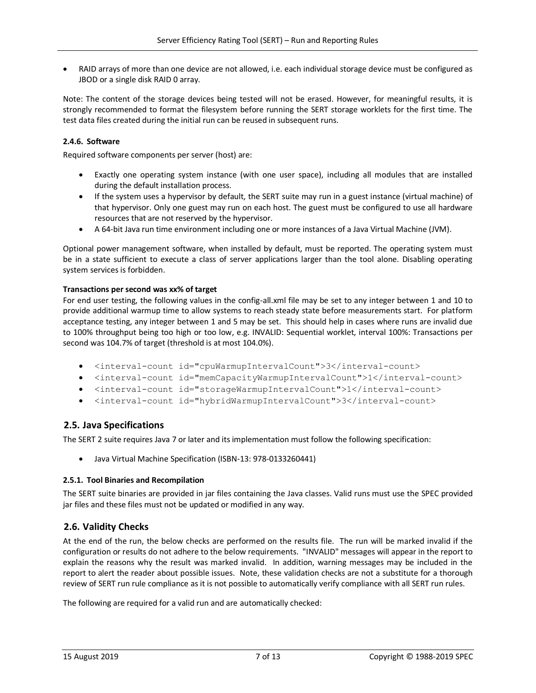• RAID arrays of more than one device are not allowed, i.e. each individual storage device must be configured as JBOD or a single disk RAID 0 array.

Note: The content of the storage devices being tested will not be erased. However, for meaningful results, it is strongly recommended to format the filesystem before running the SERT storage worklets for the first time. The test data files created during the initial run can be reused in subsequent runs.

#### <span id="page-6-0"></span>**2.4.6. Software**

Required software components per server (host) are:

- Exactly one operating system instance (with one user space), including all modules that are installed during the default installation process.
- If the system uses a hypervisor by default, the SERT suite may run in a guest instance (virtual machine) of that hypervisor. Only one guest may run on each host. The guest must be configured to use all hardware resources that are not reserved by the hypervisor.
- A 64-bit Java run time environment including one or more instances of a Java Virtual Machine (JVM).

Optional power management software, when installed by default, must be reported. The operating system must be in a state sufficient to execute a class of server applications larger than the tool alone. Disabling operating system services is forbidden.

#### **Transactions per second was xx% of target**

For end user testing, the following values in the config-all.xml file may be set to any integer between 1 and 10 to provide additional warmup time to allow systems to reach steady state before measurements start. For platform acceptance testing, any integer between 1 and 5 may be set. This should help in cases where runs are invalid due to 100% throughput being too high or too low, e.g. INVALID: Sequential worklet, interval 100%: Transactions per second was 104.7% of target (threshold is at most 104.0%).

- <interval-count id="cpuWarmupIntervalCount">3</interval-count>
- <interval-count id="memCapacityWarmupIntervalCount">1</interval-count>
- <interval-count id="storageWarmupIntervalCount">1</interval-count>
- <interval-count id="hybridWarmupIntervalCount">3</interval-count>

#### <span id="page-6-1"></span>**2.5. Java Specifications**

The SERT 2 suite requires Java 7 or later and its implementation must follow the following specification:

• Java Virtual Machine Specification (ISBN-13: 978-0133260441)

#### <span id="page-6-2"></span>**2.5.1. Tool Binaries and Recompilation**

The SERT suite binaries are provided in jar files containing the Java classes. Valid runs must use the SPEC provided jar files and these files must not be updated or modified in any way.

#### <span id="page-6-3"></span>**2.6. Validity Checks**

At the end of the run, the below checks are performed on the results file. The run will be marked invalid if the configuration or results do not adhere to the below requirements. "INVALID" messages will appear in the report to explain the reasons why the result was marked invalid. In addition, warning messages may be included in the report to alert the reader about possible issues. Note, these validation checks are not a substitute for a thorough review of SERT run rule compliance as it is not possible to automatically verify compliance with all SERT run rules.

The following are required for a valid run and are automatically checked: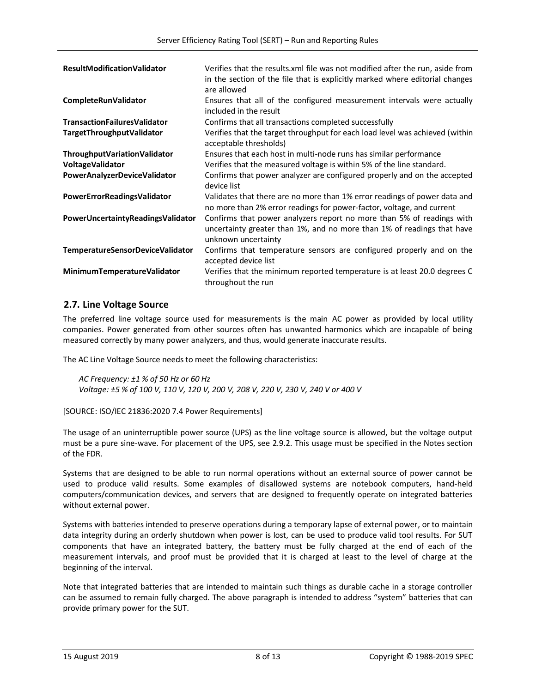| <b>ResultModificationValidator</b>      | Verifies that the results.xml file was not modified after the run, aside from<br>in the section of the file that is explicitly marked where editorial changes<br>are allowed |
|-----------------------------------------|------------------------------------------------------------------------------------------------------------------------------------------------------------------------------|
| <b>CompleteRunValidator</b>             | Ensures that all of the configured measurement intervals were actually<br>included in the result                                                                             |
| <b>TransactionFailuresValidator</b>     | Confirms that all transactions completed successfully                                                                                                                        |
| TargetThroughputValidator               | Verifies that the target throughput for each load level was achieved (within<br>acceptable thresholds)                                                                       |
| ThroughputVariationValidator            | Ensures that each host in multi-node runs has similar performance                                                                                                            |
| VoltageValidator                        | Verifies that the measured voltage is within 5% of the line standard.                                                                                                        |
| PowerAnalyzerDeviceValidator            | Confirms that power analyzer are configured properly and on the accepted<br>device list                                                                                      |
| PowerErrorReadingsValidator             | Validates that there are no more than 1% error readings of power data and<br>no more than 2% error readings for power-factor, voltage, and current                           |
| PowerUncertaintyReadingsValidator       | Confirms that power analyzers report no more than 5% of readings with<br>uncertainty greater than 1%, and no more than 1% of readings that have<br>unknown uncertainty       |
| <b>TemperatureSensorDeviceValidator</b> | Confirms that temperature sensors are configured properly and on the<br>accepted device list                                                                                 |
| MinimumTemperatureValidator             | Verifies that the minimum reported temperature is at least 20.0 degrees C<br>throughout the run                                                                              |

#### <span id="page-7-0"></span>**2.7. Line Voltage Source**

The preferred line voltage source used for measurements is the main AC power as provided by local utility companies. Power generated from other sources often has unwanted harmonics which are incapable of being measured correctly by many power analyzers, and thus, would generate inaccurate results.

The AC Line Voltage Source needs to meet the following characteristics:

*AC Frequency: ±1 % of 50 Hz or 60 Hz Voltage: ±5 % of 100 V, 110 V, 120 V, 200 V, 208 V, 220 V, 230 V, 240 V or 400 V*

[SOURCE: ISO/IEC 21836:2020 7.4 Power Requirements]

The usage of an uninterruptible power source (UPS) as the line voltage source is allowed, but the voltage output must be a pure sine-wave. For placement of the UPS, see [2.9.2.](#page-8-3) This usage must be specified in the Notes section of the FDR.

Systems that are designed to be able to run normal operations without an external source of power cannot be used to produce valid results. Some examples of disallowed systems are notebook computers, hand-held computers/communication devices, and servers that are designed to frequently operate on integrated batteries without external power.

Systems with batteries intended to preserve operations during a temporary lapse of external power, or to maintain data integrity during an orderly shutdown when power is lost, can be used to produce valid tool results. For SUT components that have an integrated battery, the battery must be fully charged at the end of each of the measurement intervals, and proof must be provided that it is charged at least to the level of charge at the beginning of the interval.

Note that integrated batteries that are intended to maintain such things as durable cache in a storage controller can be assumed to remain fully charged. The above paragraph is intended to address "system" batteries that can provide primary power for the SUT.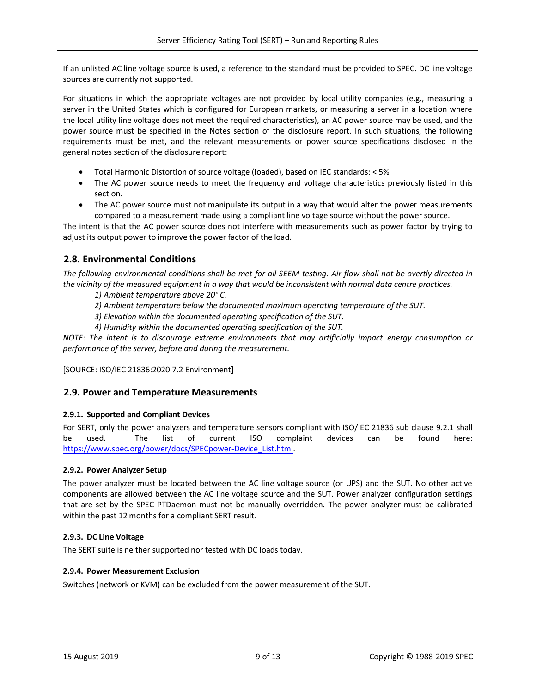If an unlisted AC line voltage source is used, a reference to the standard must be provided to SPEC. DC line voltage sources are currently not supported.

For situations in which the appropriate voltages are not provided by local utility companies (e.g., measuring a server in the United States which is configured for European markets, or measuring a server in a location where the local utility line voltage does not meet the required characteristics), an AC power source may be used, and the power source must be specified in the Notes section of the disclosure report. In such situations, the following requirements must be met, and the relevant measurements or power source specifications disclosed in the general notes section of the disclosure report:

- Total Harmonic Distortion of source voltage (loaded), based on IEC standards: < 5%
- The AC power source needs to meet the frequency and voltage characteristics previously listed in this section.
- The AC power source must not manipulate its output in a way that would alter the power measurements compared to a measurement made using a compliant line voltage source without the power source.

The intent is that the AC power source does not interfere with measurements such as power factor by trying to adjust its output power to improve the power factor of the load.

#### <span id="page-8-0"></span>**2.8. Environmental Conditions**

*The following environmental conditions shall be met for all SEEM testing. Air flow shall not be overtly directed in the vicinity of the measured equipment in a way that would be inconsistent with normal data centre practices.*

- *1) Ambient temperature above 20° C.*
- *2) Ambient temperature below the documented maximum operating temperature of the SUT.*
- *3) Elevation within the documented operating specification of the SUT.*
- *4) Humidity within the documented operating specification of the SUT.*

*NOTE: The intent is to discourage extreme environments that may artificially impact energy consumption or performance of the server, before and during the measurement.*

<span id="page-8-1"></span>[SOURCE: ISO/IEC 21836:2020 7.2 Environment]

#### **2.9. Power and Temperature Measurements**

#### <span id="page-8-2"></span>**2.9.1. Supported and Compliant Devices**

For SERT, only the power analyzers and temperature sensors compliant with ISO/IEC 21836 sub clause 9.2.1 shall be used. The list of current ISO complaint devices can be found here: [https://www.spec.org/power/docs/SPECpower-Device\\_List.html.](https://www.spec.org/power/docs/SPECpower-Device_List.html)

#### <span id="page-8-3"></span>**2.9.2. Power Analyzer Setup**

The power analyzer must be located between the AC line voltage source (or UPS) and the SUT. No other active components are allowed between the AC line voltage source and the SUT. Power analyzer configuration settings that are set by the SPEC PTDaemon must not be manually overridden. The power analyzer must be calibrated within the past 12 months for a compliant SERT result.

#### <span id="page-8-4"></span>**2.9.3. DC Line Voltage**

<span id="page-8-5"></span>The SERT suite is neither supported nor tested with DC loads today.

#### **2.9.4. Power Measurement Exclusion**

Switches (network or KVM) can be excluded from the power measurement of the SUT.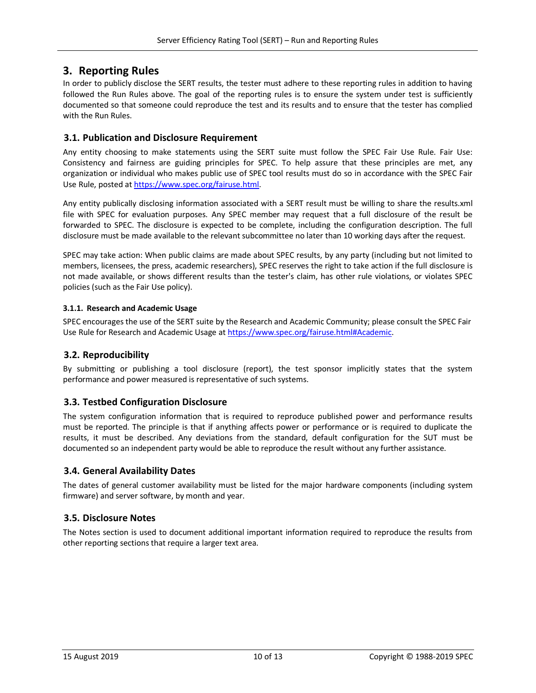# <span id="page-9-0"></span>**3. Reporting Rules**

In order to publicly disclose the SERT results, the tester must adhere to these reporting rules in addition to having followed the Run Rules above. The goal of the reporting rules is to ensure the system under test is sufficiently documented so that someone could reproduce the test and its results and to ensure that the tester has complied with the Run Rules.

#### <span id="page-9-1"></span>**3.1. Publication and Disclosure Requirement**

Any entity choosing to make statements using the SERT suite must follow the SPEC Fair Use Rule. Fair Use: Consistency and fairness are guiding principles for SPEC. To help assure that these principles are met, any organization or individual who makes public use of SPEC tool results must do so in accordance with the SPEC Fair Use Rule, posted at [https://www.spec.org/fairuse.html.](http://www.spec.org/fairuse.html)

Any entity publically disclosing information associated with a SERT result must be willing to share the results.xml file with SPEC for evaluation purposes. Any SPEC member may request that a full disclosure of the result be forwarded to SPEC. The disclosure is expected to be complete, including the configuration description. The full disclosure must be made available to the relevant subcommittee no later than 10 working days after the request.

SPEC may take action: When public claims are made about SPEC results, by any party (including but not limited to members, licensees, the press, academic researchers), SPEC reserves the right to take action if the full disclosure is not made available, or shows different results than the tester's claim, has other rule violations, or violates SPEC policies (such as the Fair Use policy).

#### <span id="page-9-2"></span>**3.1.1. Research and Academic Usage**

SPEC encourages the use of the SERT suite by the Research and Academic Community; please consult the SPEC Fair Use Rule for Research and Academic Usage at [https://www.spec.org/fairuse.html#Academic.](http://www.spec.org/fairuse.html#Academic)

#### <span id="page-9-3"></span>**3.2. Reproducibility**

By submitting or publishing a tool disclosure (report), the test sponsor implicitly states that the system performance and power measured is representative of such systems.

#### <span id="page-9-4"></span>**3.3. Testbed Configuration Disclosure**

The system configuration information that is required to reproduce published power and performance results must be reported. The principle is that if anything affects power or performance or is required to duplicate the results, it must be described. Any deviations from the standard, default configuration for the SUT must be documented so an independent party would be able to reproduce the result without any further assistance.

#### <span id="page-9-5"></span>**3.4. General Availability Dates**

The dates of general customer availability must be listed for the major hardware components (including system firmware) and server software, by month and year.

#### <span id="page-9-6"></span>**3.5. Disclosure Notes**

The Notes section is used to document additional important information required to reproduce the results from other reporting sections that require a larger text area.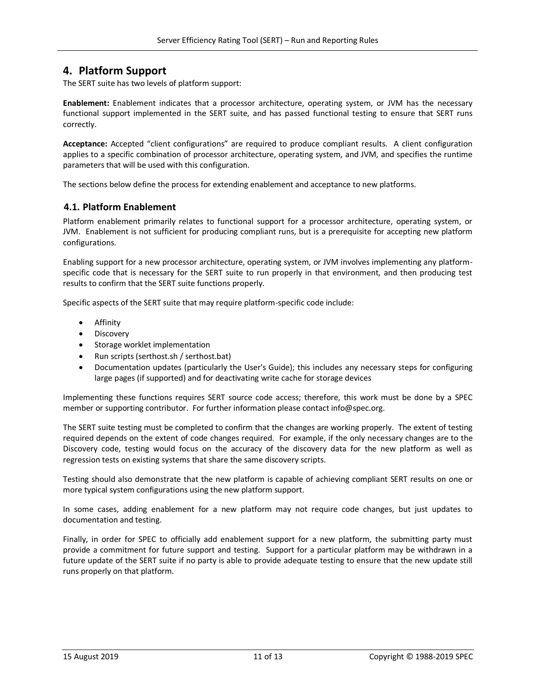# <span id="page-10-0"></span>**4. Platform Support**

The SERT suite has two levels of platform support:

**Enablement:** Enablement indicates that a processor architecture, operating system, or JVM has the necessary functional support implemented in the SERT suite, and has passed functional testing to ensure that SERT runs correctly.

**Acceptance:** Accepted "client configurations" are required to produce compliant results. A client configuration applies to a specific combination of processor architecture, operating system, and JVM, and specifies the runtime parameters that will be used with this configuration.

The sections below define the process for extending enablement and acceptance to new platforms.

#### <span id="page-10-1"></span>**4.1. Platform Enablement**

Platform enablement primarily relates to functional support for a processor architecture, operating system, or JVM. Enablement is not sufficient for producing compliant runs, but is a prerequisite for accepting new platform configurations.

Enabling support for a new processor architecture, operating system, or JVM involves implementing any platformspecific code that is necessary for the SERT suite to run properly in that environment, and then producing test results to confirm that the SERT suite functions properly.

Specific aspects of the SERT suite that may require platform-specific code include:

- Affinity
- Discovery
- Storage worklet implementation
- Run scripts (serthost.sh / serthost.bat)
- Documentation updates (particularly the User's Guide); this includes any necessary steps for configuring large pages (if supported) and for deactivating write cache for storage devices

Implementing these functions requires SERT source code access; therefore, this work must be done by a SPEC member or supporting contributor. For further information please contact info@spec.org.

The SERT suite testing must be completed to confirm that the changes are working properly. The extent of testing required depends on the extent of code changes required. For example, if the only necessary changes are to the Discovery code, testing would focus on the accuracy of the discovery data for the new platform as well as regression tests on existing systems that share the same discovery scripts.

Testing should also demonstrate that the new platform is capable of achieving compliant SERT results on one or more typical system configurations using the new platform support.

In some cases, adding enablement for a new platform may not require code changes, but just updates to documentation and testing.

Finally, in order for SPEC to officially add enablement support for a new platform, the submitting party must provide a commitment for future support and testing. Support for a particular platform may be withdrawn in a future update of the SERT suite if no party is able to provide adequate testing to ensure that the new update still runs properly on that platform.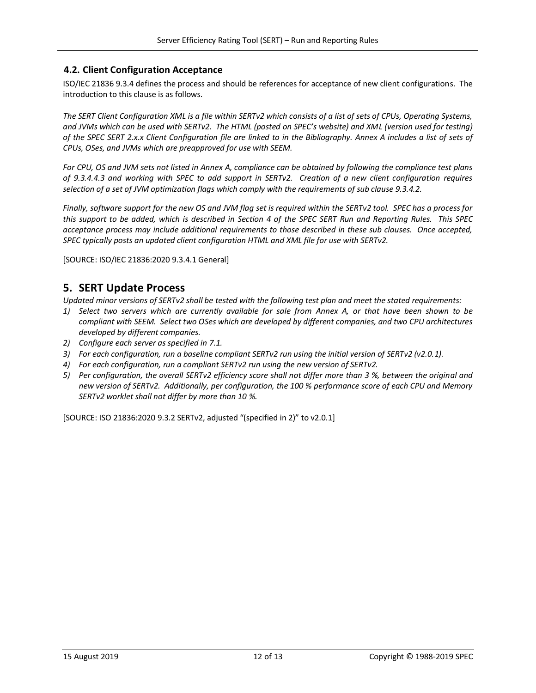#### <span id="page-11-0"></span>**4.2. Client Configuration Acceptance**

ISO/IEC 21836 9.3.4 defines the process and should be references for acceptance of new client configurations. The introduction to this clause is as follows.

*The SERT Client Configuration XML is a file within SERTv2 which consists of a list of sets of CPUs, Operating Systems, and JVMs which can be used with SERTv2. The HTML (posted on SPEC's website) and XML (version used for testing) of the SPEC SERT 2.x.x Client Configuration file are linked to in the Bibliography. Annex A includes a list of sets of CPUs, OSes, and JVMs which are preapproved for use with SEEM.* 

*For CPU, OS and JVM sets not listed in Annex A, compliance can be obtained by following the compliance test plans of 9.3.4.4.3 and working with SPEC to add support in SERTv2. Creation of a new client configuration requires selection of a set of JVM optimization flags which comply with the requirements of sub clause 9.3.4.2.* 

*Finally, software support for the new OS and JVM flag set is required within the SERTv2 tool. SPEC has a process for this support to be added, which is described in Section 4 of the SPEC SERT Run and Reporting Rules. This SPEC acceptance process may include additional requirements to those described in these sub clauses. Once accepted, SPEC typically posts an updated client configuration HTML and XML file for use with SERTv2.*

[SOURCE: ISO/IEC 21836:2020 9.3.4.1 General]

### <span id="page-11-1"></span>**5. SERT Update Process**

*Updated minor versions of SERTv2 shall be tested with the following test plan and meet the stated requirements:*

- *1) Select two servers which are currently available for sale from Annex A, or that have been shown to be compliant with SEEM. Select two OSes which are developed by different companies, and two CPU architectures developed by different companies.*
- *2) Configure each server as specified in 7.1.*
- *3) For each configuration, run a baseline compliant SERTv2 run using the initial version of SERTv2 (v2.0.1).*
- *4) For each configuration, run a compliant SERTv2 run using the new version of SERTv2.*
- *5) Per configuration, the overall SERTv2 efficiency score shall not differ more than 3 %, between the original and new version of SERTv2. Additionally, per configuration, the 100 % performance score of each CPU and Memory SERTv2 worklet shall not differ by more than 10 %.*

[SOURCE: ISO 21836:2020 9.3.2 SERTv2, adjusted "(specified in 2)" to v2.0.1]